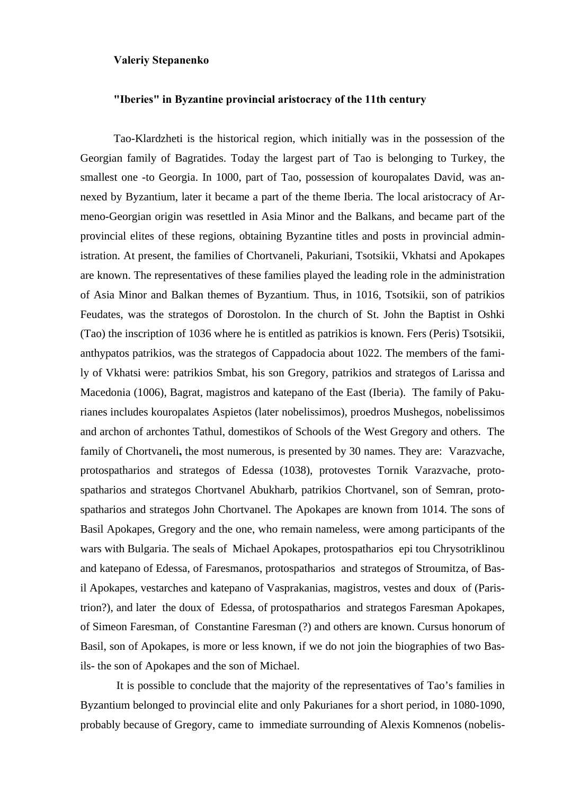## **Valeriy Stepanenko**

## **"Iberies" in Byzantine provincial aristoсraсy of the 11th century**

Tao-Klardzheti is the historical region, which initially was in the possession of the Georgian family of Bagratides. Today the largest part of Tao is belonging to Turkey, the smallest one -to Georgia. In 1000, part of Tao, possession of kouropalates David, was annexed by Byzantium, later it became a part of the theme Iberia. The local aristocracy of Armeno-Georgian origin was resettled in Asia Minor and the Balkans, and became part of the provincial elites of these regions, obtaining Byzantine titles and posts in provincial administration. At present, the families of Chortvaneli, Pakuriani, Tsotsikii, Vkhatsi and Apokapes are known. The representatives of these families played the leading role in the administration of Asia Minor and Balkan themes of Byzantium. Thus, in 1016, Tsotsikii, son of patrikios Feudates, was the strategos of Dorostolon. In the church of St. John the Baptist in Oshki (Tao) the inscription of 1036 where he is entitled as patrikios is known. Fers (Peris) Tsotsikii, anthypatos patrikios, was the strategos of Cappadocia about 1022. The members of the family of Vkhatsi were: patrikios Smbat, his son Gregory, patrikios and strategos of Larissa and Macedonia (1006), Bagrat, magistros and katepano of the East (Iberia). The family of Pakurianes includes kouropalates Aspietos (later nobelissimos), proedros Mushegos, nobelissimos and archon of archontes Tathul, domestikos of Schools of the West Gregory and others. The family of Chortvaneli**,** the most numerous, is presented by 30 names. They are: Varazvache, protospatharios and strategos of Edessa (1038), protovestes Tornik Varazvache, protospatharios and strategos Chortvanel Abukharb, patrikios Chortvanel, son of Semran, protospatharios and strategos John Chortvanel. The Apokapes are known from 1014. The sons of Basil Apokapes, Gregory and the one, who remain nameless, were among participants of the wars with Bulgaria. The seals of Michael Apokapes, protospatharios epi tou Chrysotriklinou and katepano of Edessa, of Faresmanos, protospatharios and strategos of Stroumitza, of Basil Apokapes, vestarches and katepano of Vasprakanias, magistros, vestes and doux of (Paristrion?), and later the doux of Edessa, of protospatharios and strategos Faresman Apokapes, of Simeon Faresman, of Constantine Faresman (?) and others are known. Cursus honorum of Basil, son of Apokapes, is more or less known, if we do not join the biographies of two Basils- the son of Apokapes and the son of Michael.

 It is possible to conclude that the majority of the representatives of Tao's families in Byzantium belonged to provincial elite and only Pakurianes for a short period, in 1080-1090, probably because of Gregory, came to immediate surrounding of Alexis Komnenos (nobelis-